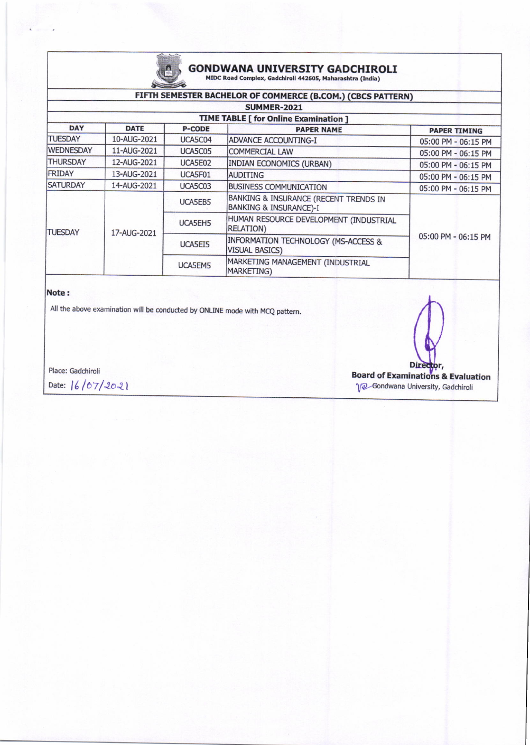

# **GONDWANA UNIVERSITY GADCHIROLI** MIDC Road Complex, Gadchiroli 442605, Maharashtra (India)

### FIFTH SEMESTER BACHELOR OF COMMERCE (B.COM.) (CBCS PATTERN)

| <b>SUMMER-2021</b>                    |             |               |                                                                            |                     |  |  |  |
|---------------------------------------|-------------|---------------|----------------------------------------------------------------------------|---------------------|--|--|--|
| TIME TABLE [ for Online Examination ] |             |               |                                                                            |                     |  |  |  |
| <b>DAY</b>                            | <b>DATE</b> | <b>P-CODE</b> | <b>PAPER NAME</b>                                                          | <b>PAPER TIMING</b> |  |  |  |
| <b>TUESDAY</b>                        | 10-AUG-2021 | UCA5C04       | ADVANCE ACCOUNTING-I                                                       | 05:00 PM - 06:15 PM |  |  |  |
| <b>WEDNESDAY</b>                      | 11-AUG-2021 | UCA5C05       | <b>COMMERCIAL LAW</b>                                                      | 05:00 PM - 06:15 PM |  |  |  |
| <b>THURSDAY</b>                       | 12-AUG-2021 | UCA5E02       | <b>INDIAN ECONOMICS (URBAN)</b>                                            | 05:00 PM - 06:15 PM |  |  |  |
| FRIDAY                                | 13-AUG-2021 | UCA5F01       | <b>AUDITING</b>                                                            | 05:00 PM - 06:15 PM |  |  |  |
| <b>SATURDAY</b>                       | 14-AUG-2021 | UCA5C03       | <b>BUSINESS COMMUNICATION</b>                                              | 05:00 PM - 06:15 PM |  |  |  |
| <b>TUESDAY</b>                        | 17-AUG-2021 | UCA5EB5       | BANKING & INSURANCE (RECENT TRENDS IN<br><b>BANKING &amp; INSURANCE)-I</b> | 05:00 PM - 06:15 PM |  |  |  |
|                                       |             | UCA5EH5       | HUMAN RESOURCE DEVELOPMENT (INDUSTRIAL<br><b>RELATION</b> )                |                     |  |  |  |
|                                       |             | UCA5EI5       | <b>INFORMATION TECHNOLOGY (MS-ACCESS &amp;</b><br><b>VISUAL BASICS)</b>    |                     |  |  |  |
|                                       |             | UCA5EM5       | MARKETING MANAGEMENT (INDUSTRIAL<br>MARKETING)                             |                     |  |  |  |

#### Note:

All the above examination will be conducted by ONLINE mode with MCQ pattern.

Place: Gadchiroli

Date: 16/07/2021

**Dire Board of Examinations & Evaluation** V2 Gondwana University, Gadchiroli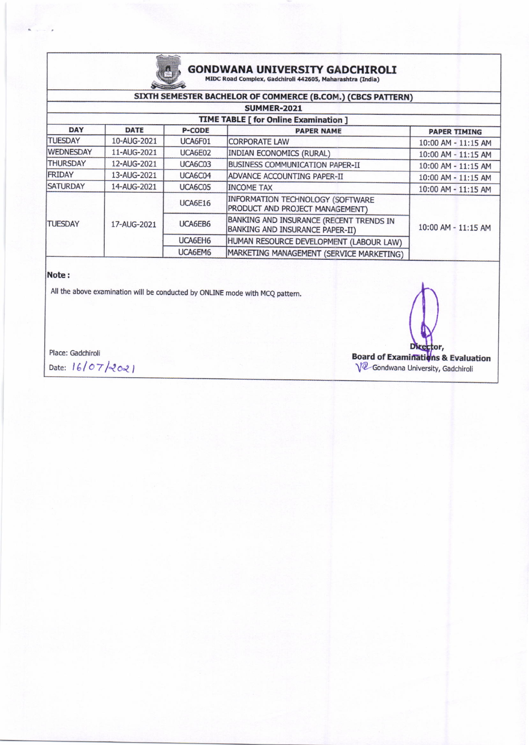

## **GONDWANA UNIVERSITY GADCHIROLI**<br>MIDC Road Complex, Gadchiroli 442605, Maharashtra (India)

## SIXTH SEMESTER BACHELOR OF COMMERCE (B.COM.) (CBCS PATTERN)

| SUMMER-2021<br><b>TIME TABLE [ for Online Examination ]</b> |             |         |                                                                            |                     |  |  |
|-------------------------------------------------------------|-------------|---------|----------------------------------------------------------------------------|---------------------|--|--|
|                                                             |             |         |                                                                            |                     |  |  |
| <b>TUESDAY</b>                                              | 10-AUG-2021 | UCA6F01 | <b>CORPORATE LAW</b>                                                       | 10:00 AM - 11:15 AM |  |  |
| <b>WEDNESDAY</b>                                            | 11-AUG-2021 | UCA6E02 | <b>INDIAN ECONOMICS (RURAL)</b>                                            | 10:00 AM - 11:15 AM |  |  |
| <b>THURSDAY</b>                                             | 12-AUG-2021 | UCA6C03 | <b>BUSINESS COMMUNICATION PAPER-II</b>                                     | 10:00 AM - 11:15 AM |  |  |
| <b>FRIDAY</b>                                               | 13-AUG-2021 | UCA6C04 | ADVANCE ACCOUNTING PAPER-II                                                | 10:00 AM - 11:15 AM |  |  |
| <b>SATURDAY</b>                                             | 14-AUG-2021 | UCA6C05 | <b>INCOME TAX</b>                                                          | 10:00 AM - 11:15 AM |  |  |
| <b>TUESDAY</b>                                              | 17-AUG-2021 | UCA6E16 | INFORMATION TECHNOLOGY (SOFTWARE<br>PRODUCT AND PROJECT MANAGEMENT)        | 10:00 AM - 11:15 AM |  |  |
|                                                             |             | UCA6EB6 | BANKING AND INSURANCE (RECENT TRENDS IN<br>BANKING AND INSURANCE PAPER-II) |                     |  |  |
|                                                             |             | UCA6EH6 | HUMAN RESOURCE DEVELOPMENT (LABOUR LAW)                                    |                     |  |  |
|                                                             |             | UCA6EM6 | MARKETING MANAGEMENT (SERVICE MARKETING)                                   |                     |  |  |

### Note:

All the above examination will be conducted by ONLINE mode with MCQ pattern.

Place: Gadchiroli

Date: 16/07/2021

**Board of Examinations & Evaluation** V<sup>2</sup> Gondwana University, Gadchiroli